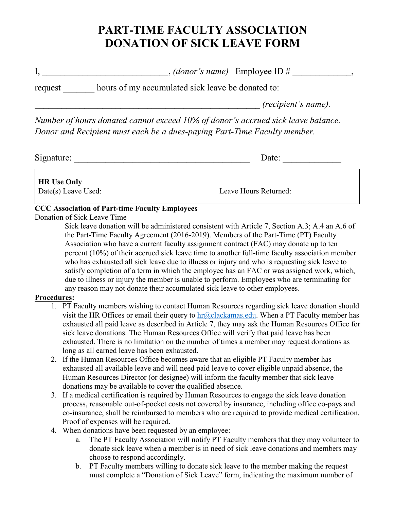## **PART-TIME FACULTY ASSOCIATION DONATION OF SICK LEAVE FORM**

I, \_\_\_\_\_\_\_\_\_\_\_\_\_\_\_\_\_\_\_\_\_\_\_\_\_*, (donor's name)* Employee ID # \_\_\_\_\_\_\_\_\_\_\_,

request hours of my accumulated sick leave be donated to:

*\_\_\_\_\_\_\_\_\_\_\_\_\_\_\_\_\_\_\_\_\_\_\_\_\_\_\_\_\_\_\_\_\_\_\_\_\_\_\_\_\_\_\_\_\_\_\_\_\_\_ (recipient's name).* 

*Number of hours donated cannot exceed 10% of donor's accrued sick leave balance. Donor and Recipient must each be a dues-paying Part-Time Faculty member.*

| Signature: |  |
|------------|--|
|            |  |

Signature: \_\_\_\_\_\_\_\_\_\_\_\_\_\_\_\_\_\_\_\_\_\_\_\_\_\_\_\_\_\_\_\_\_\_\_\_\_\_\_ Date: \_\_\_\_\_\_\_\_\_\_\_\_\_

**HR Use Only**

Date(s) Leave Used: \_\_\_\_\_\_\_\_\_\_\_\_\_\_\_\_\_\_\_\_\_\_\_ Leave Hours Returned: \_\_\_\_\_\_\_\_\_\_\_\_\_\_\_\_

## **CCC Association of Part-time Faculty Employees**

Donation of Sick Leave Time

Sick leave donation will be administered consistent with Article 7, Section A.3; A.4 an A.6 of the Part-Time Faculty Agreement (2016-2019). Members of the Part-Time (PT) Faculty Association who have a current faculty assignment contract (FAC) may donate up to ten percent (10%) of their accrued sick leave time to another full-time faculty association member who has exhausted all sick leave due to illness or injury and who is requesting sick leave to satisfy completion of a term in which the employee has an FAC or was assigned work, which, due to illness or injury the member is unable to perform. Employees who are terminating for any reason may not donate their accumulated sick leave to other employees.

## **Procedures:**

- 1. PT Faculty members wishing to contact Human Resources regarding sick leave donation should visit the HR Offices or email their query to  $hr@$ clackamas.edu. When a PT Faculty member has exhausted all paid leave as described in Article 7, they may ask the Human Resources Office for sick leave donations. The Human Resources Office will verify that paid leave has been exhausted. There is no limitation on the number of times a member may request donations as long as all earned leave has been exhausted.
- 2. If the Human Resources Office becomes aware that an eligible PT Faculty member has exhausted all available leave and will need paid leave to cover eligible unpaid absence, the Human Resources Director (or designee) will inform the faculty member that sick leave donations may be available to cover the qualified absence.
- 3. If a medical certification is required by Human Resources to engage the sick leave donation process, reasonable out-of-pocket costs not covered by insurance, including office co-pays and co-insurance, shall be reimbursed to members who are required to provide medical certification. Proof of expenses will be required.
- 4. When donations have been requested by an employee:
	- a. The PT Faculty Association will notify PT Faculty members that they may volunteer to donate sick leave when a member is in need of sick leave donations and members may choose to respond accordingly.
	- b. PT Faculty members willing to donate sick leave to the member making the request must complete a "Donation of Sick Leave" form, indicating the maximum number of